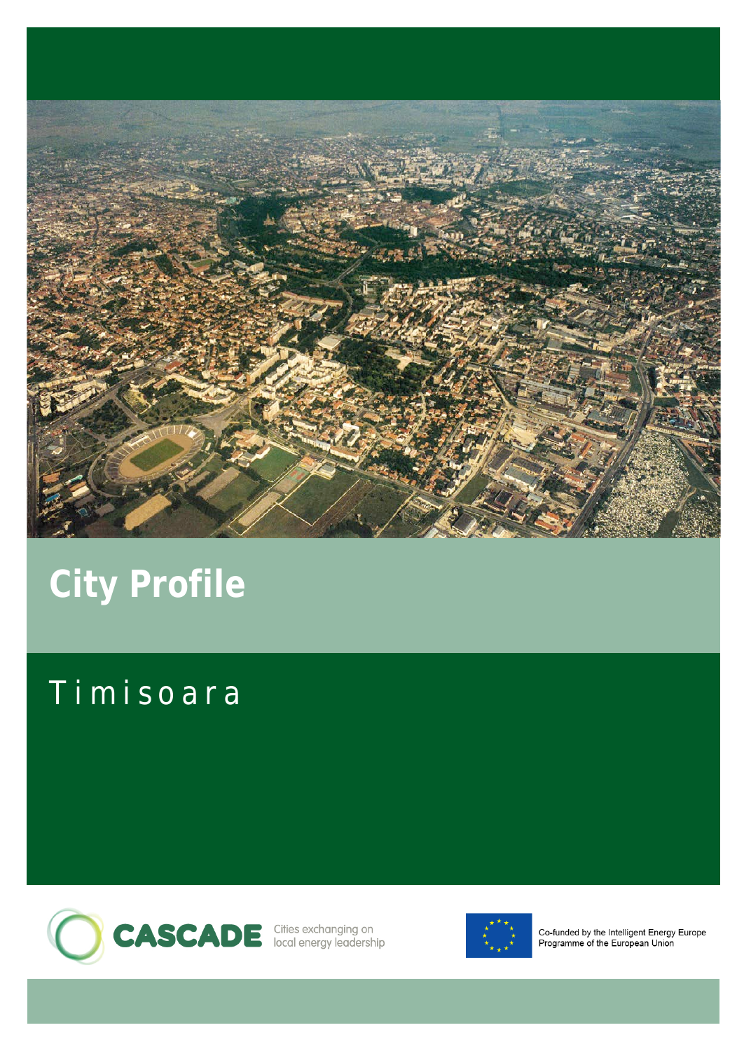

# **City Profile**

## Timisoara





Co-funded by the Intelligent Energy Europe Programme of the European Union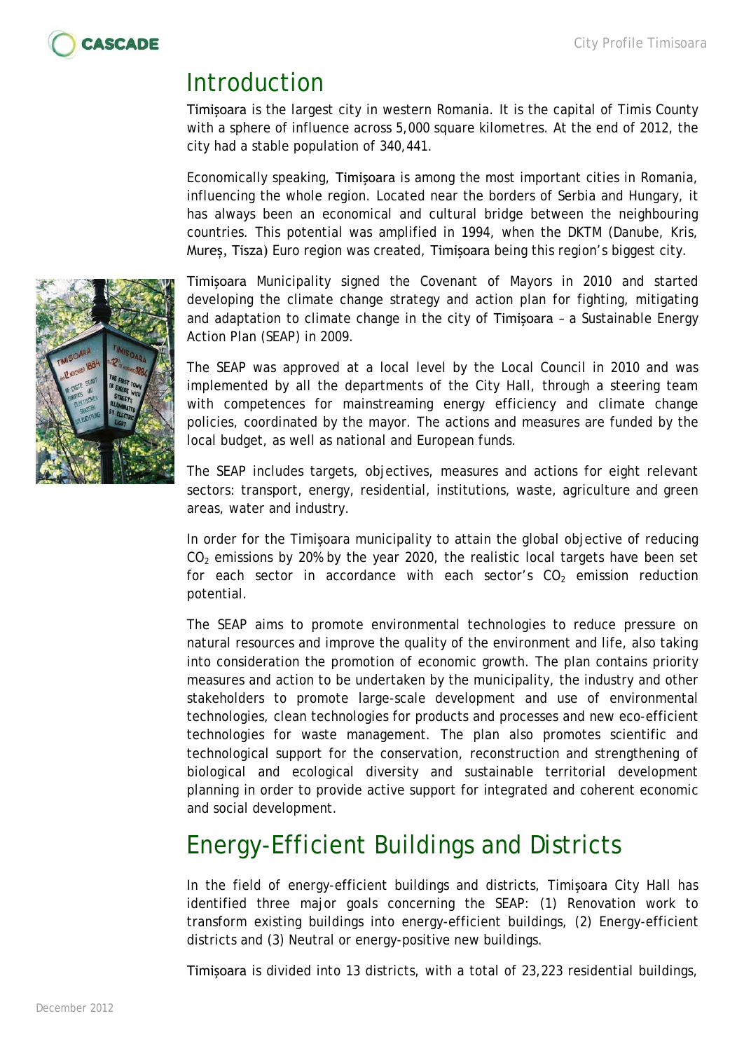

#### Introduction

Timişoara is the largest city in western Romania. It is the capital of Timis County with a sphere of influence across 5,000 square kilometres. At the end of 2012, the city had a stable population of 340,441.

Economically speaking, Timişoara is among the most important cities in Romania, influencing the whole region. Located near the borders of Serbia and Hungary, it has always been an economical and cultural bridge between the neighbouring countries. This potential was amplified in 1994, when the DKTM (Danube, Kris, Mureș, Tisza) Euro region was created, Timişoara being this region's biggest city.

Timişoara Municipality signed the Covenant of Mayors in 2010 and started developing the climate change strategy and action plan for fighting, mitigating and adaptation to climate change in the city of Timişoara – a Sustainable Energy Action Plan (SEAP) in 2009.

The SEAP was approved at a local level by the Local Council in 2010 and was implemented by all the departments of the City Hall, through a steering team with competences for mainstreaming energy efficiency and climate change policies, coordinated by the mayor. The actions and measures are funded by the local budget, as well as national and European funds.

The SEAP includes targets, objectives, measures and actions for eight relevant sectors: transport, energy, residential, institutions, waste, agriculture and green areas, water and industry.

In order for the Timişoara municipality to attain the global objective of reducing  $CO<sub>2</sub>$  emissions by 20% by the year 2020, the realistic local targets have been set for each sector in accordance with each sector's  $CO<sub>2</sub>$  emission reduction potential.

The SEAP aims to promote environmental technologies to reduce pressure on natural resources and improve the quality of the environment and life, also taking into consideration the promotion of economic growth. The plan contains priority measures and action to be undertaken by the municipality, the industry and other stakeholders to promote large-scale development and use of environmental technologies, clean technologies for products and processes and new eco-efficient technologies for waste management. The plan also promotes scientific and technological support for the conservation, reconstruction and strengthening of biological and ecological diversity and sustainable territorial development planning in order to provide active support for integrated and coherent economic and social development.

## Energy-Efficient Buildings and Districts

In the field of energy-efficient buildings and districts, Timişoara City Hall has identified three major goals concerning the SEAP: (1) Renovation work to transform existing buildings into energy-efficient buildings, (2) Energy-efficient districts and (3) Neutral or energy-positive new buildings.

Timişoara is divided into 13 districts, with a total of 23,223 residential buildings,

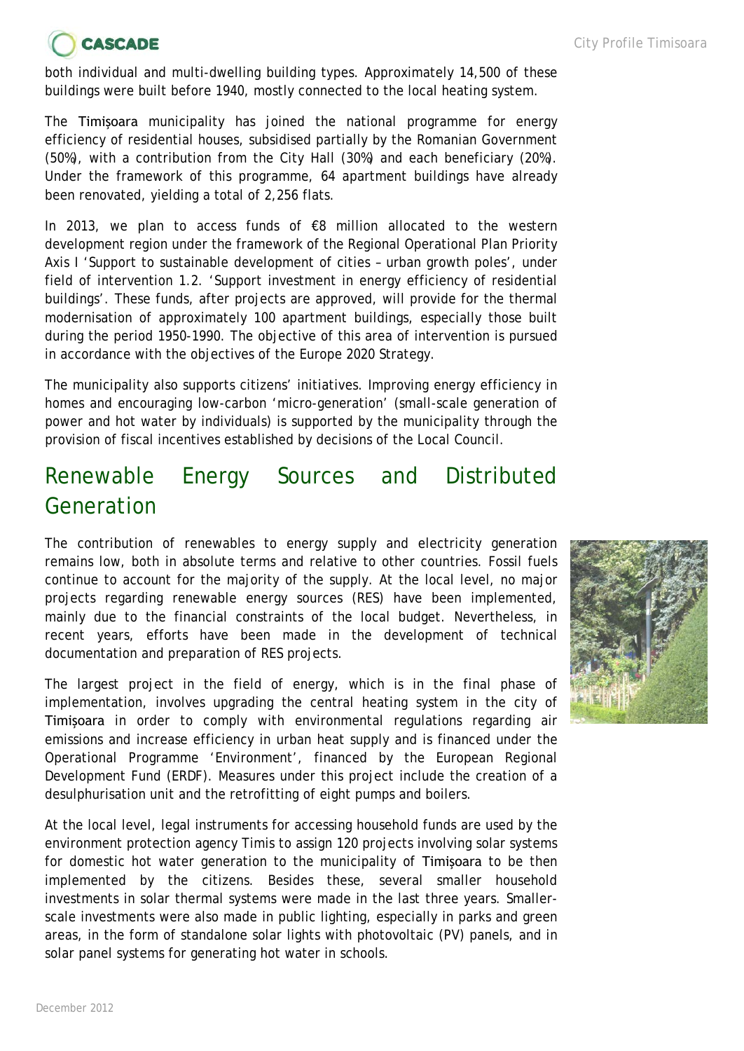## **CASCADE**

both individual and multi-dwelling building types. Approximately 14,500 of these buildings were built before 1940, mostly connected to the local heating system.

The Timişoara municipality has joined the national programme for energy efficiency of residential houses, subsidised partially by the Romanian Government (50%), with a contribution from the City Hall (30%) and each beneficiary (20%). Under the framework of this programme, 64 apartment buildings have already been renovated, yielding a total of 2,256 flats.

In 2013, we plan to access funds of  $\epsilon$ 8 million allocated to the western development region under the framework of the Regional Operational Plan Priority Axis I 'Support to sustainable development of cities – urban growth poles', under field of intervention 1.2. 'Support investment in energy efficiency of residential buildings'. These funds, after projects are approved, will provide for the thermal modernisation of approximately 100 apartment buildings, especially those built during the period 1950-1990. The objective of this area of intervention is pursued in accordance with the objectives of the Europe 2020 Strategy.

The municipality also supports citizens' initiatives. Improving energy efficiency in homes and encouraging low-carbon 'micro-generation' (small-scale generation of power and hot water by individuals) is supported by the municipality through the provision of fiscal incentives established by decisions of the Local Council.

#### Renewable Energy Sources and Distributed Generation

The contribution of renewables to energy supply and electricity generation remains low, both in absolute terms and relative to other countries. Fossil fuels continue to account for the majority of the supply. At the local level, no major projects regarding renewable energy sources (RES) have been implemented, mainly due to the financial constraints of the local budget. Nevertheless, in recent years, efforts have been made in the development of technical documentation and preparation of RES projects.

The largest project in the field of energy, which is in the final phase of implementation, involves upgrading the central heating system in the city of Timişoara in order to comply with environmental regulations regarding air emissions and increase efficiency in urban heat supply and is financed under the Operational Programme 'Environment', financed by the European Regional Development Fund (ERDF). Measures under this project include the creation of a desulphurisation unit and the retrofitting of eight pumps and boilers.

At the local level, legal instruments for accessing household funds are used by the environment protection agency Timis to assign 120 projects involving solar systems for domestic hot water generation to the municipality of Timişoara to be then implemented by the citizens. Besides these, several smaller household investments in solar thermal systems were made in the last three years. Smallerscale investments were also made in public lighting, especially in parks and green areas, in the form of standalone solar lights with photovoltaic (PV) panels, and in solar panel systems for generating hot water in schools.

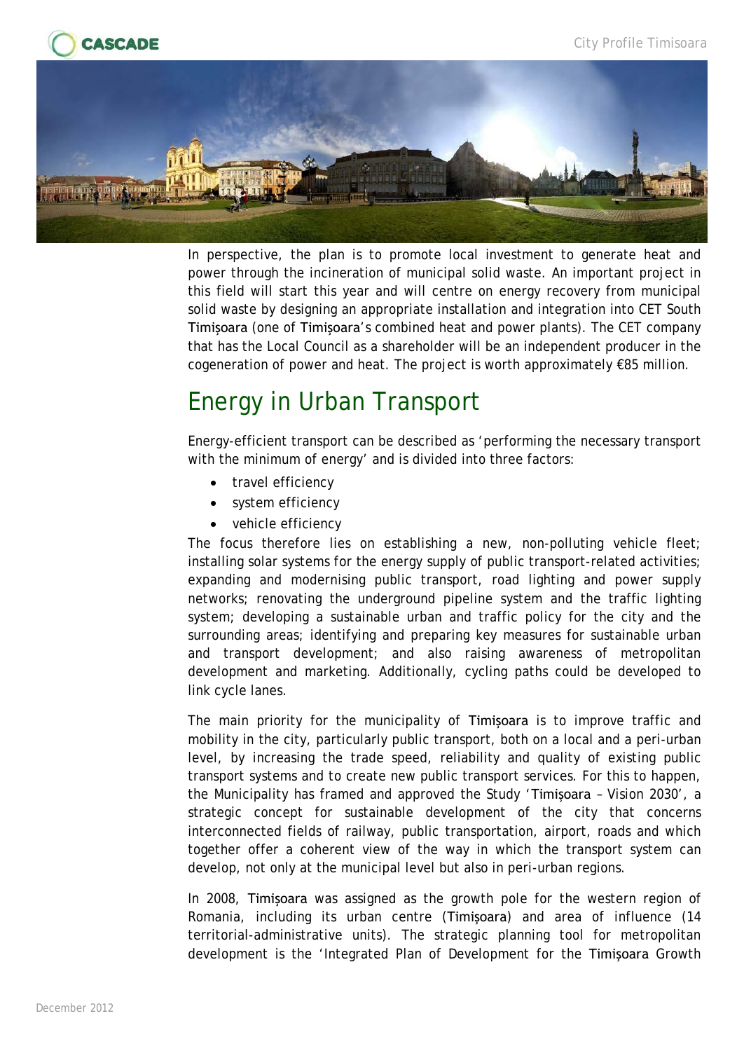



In perspective, the plan is to promote local investment to generate heat and power through the incineration of municipal solid waste. An important project in this field will start this year and will centre on energy recovery from municipal solid waste by designing an appropriate installation and integration into CET South Timişoara (one of Timişoara's combined heat and power plants). The CET company that has the Local Council as a shareholder will be an independent producer in the cogeneration of power and heat. The project is worth approximately €85 million.

#### Energy in Urban Transport

Energy-efficient transport can be described as 'performing the necessary transport with the minimum of energy' and is divided into three factors:

- travel efficiency
- system efficiency
- vehicle efficiency

The focus therefore lies on establishing a new, non-polluting vehicle fleet; installing solar systems for the energy supply of public transport-related activities; expanding and modernising public transport, road lighting and power supply networks; renovating the underground pipeline system and the traffic lighting system; developing a sustainable urban and traffic policy for the city and the surrounding areas; identifying and preparing key measures for sustainable urban and transport development; and also raising awareness of metropolitan development and marketing. Additionally, cycling paths could be developed to link cycle lanes.

The main priority for the municipality of Timişoara is to improve traffic and mobility in the city, particularly public transport, both on a local and a peri-urban level, by increasing the trade speed, reliability and quality of existing public transport systems and to create new public transport services. For this to happen, the Municipality has framed and approved the Study 'Timişoara – Vision 2030', a strategic concept for sustainable development of the city that concerns interconnected fields of railway, public transportation, airport, roads and which together offer a coherent view of the way in which the transport system can develop, not only at the municipal level but also in peri-urban regions.

In 2008, Timişoara was assigned as the growth pole for the western region of Romania, including its urban centre (Timişoara) and area of influence (14 territorial-administrative units). The strategic planning tool for metropolitan development is the 'Integrated Plan of Development for the Timişoara Growth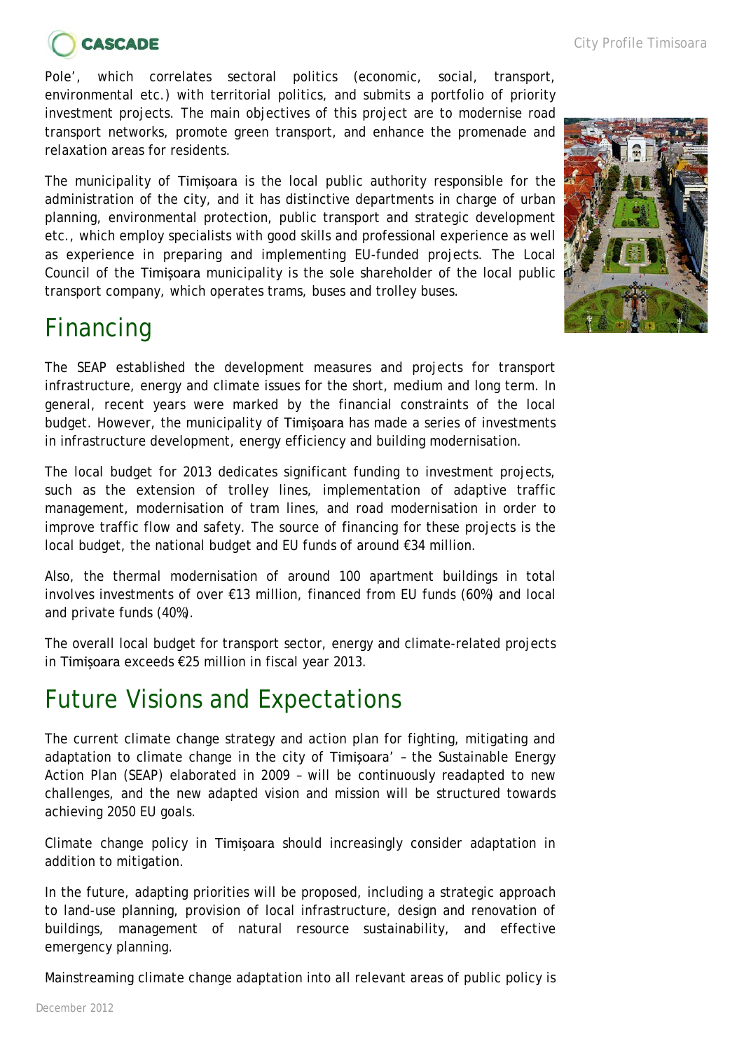

Pole', which correlates sectoral politics (economic, social, transport, environmental etc.) with territorial politics, and submits a portfolio of priority investment projects. The main objectives of this project are to modernise road transport networks, promote green transport, and enhance the promenade and relaxation areas for residents.

The municipality of Timişoara is the local public authority responsible for the administration of the city, and it has distinctive departments in charge of urban planning, environmental protection, public transport and strategic development etc., which employ specialists with good skills and professional experience as well as experience in preparing and implementing EU-funded projects. The Local Council of the Timişoara municipality is the sole shareholder of the local public transport company, which operates trams, buses and trolley buses.

## Financing

The SEAP established the development measures and projects for transport infrastructure, energy and climate issues for the short, medium and long term. In general, recent years were marked by the financial constraints of the local budget. However, the municipality of Timişoara has made a series of investments in infrastructure development, energy efficiency and building modernisation.

The local budget for 2013 dedicates significant funding to investment projects, such as the extension of trolley lines, implementation of adaptive traffic management, modernisation of tram lines, and road modernisation in order to improve traffic flow and safety. The source of financing for these projects is the local budget, the national budget and EU funds of around €34 million.

Also, the thermal modernisation of around 100 apartment buildings in total involves investments of over €13 million, financed from EU funds (60%) and local and private funds (40%).

The overall local budget for transport sector, energy and climate-related projects in Timişoara exceeds €25 million in fiscal year 2013.

#### Future Visions and Expectations

The current climate change strategy and action plan for fighting, mitigating and adaptation to climate change in the city of Timişoara' – the Sustainable Energy Action Plan (SEAP) elaborated in 2009 – will be continuously readapted to new challenges, and the new adapted vision and mission will be structured towards achieving 2050 EU goals.

Climate change policy in Timişoara should increasingly consider adaptation in addition to mitigation.

In the future, adapting priorities will be proposed, including a strategic approach to land-use planning, provision of local infrastructure, design and renovation of buildings, management of natural resource sustainability, and effective emergency planning.

Mainstreaming climate change adaptation into all relevant areas of public policy is

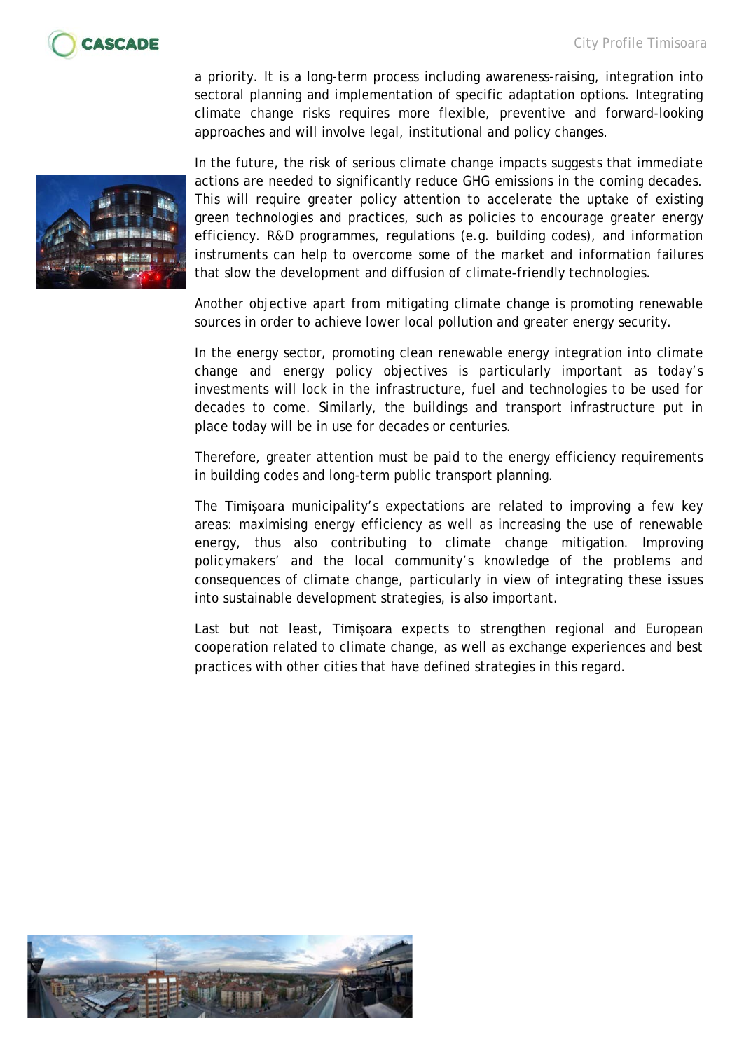

a priority. It is a long-term process including awareness-raising, integration into sectoral planning and implementation of specific adaptation options. Integrating climate change risks requires more flexible, preventive and forward-looking approaches and will involve legal, institutional and policy changes.

In the future, the risk of serious climate change impacts suggests that immediate actions are needed to significantly reduce GHG emissions in the coming decades. This will require greater policy attention to accelerate the uptake of existing green technologies and practices, such as policies to encourage greater energy efficiency. R&D programmes, regulations (e.g. building codes), and information instruments can help to overcome some of the market and information failures that slow the development and diffusion of climate-friendly technologies.

Another objective apart from mitigating climate change is promoting renewable sources in order to achieve lower local pollution and greater energy security.

In the energy sector, promoting clean renewable energy integration into climate change and energy policy objectives is particularly important as today's investments will lock in the infrastructure, fuel and technologies to be used for decades to come. Similarly, the buildings and transport infrastructure put in place today will be in use for decades or centuries.

Therefore, greater attention must be paid to the energy efficiency requirements in building codes and long-term public transport planning.

The Timişoara municipality's expectations are related to improving a few key areas: maximising energy efficiency as well as increasing the use of renewable energy, thus also contributing to climate change mitigation. Improving policymakers' and the local community's knowledge of the problems and consequences of climate change, particularly in view of integrating these issues into sustainable development strategies, is also important.

Last but not least, Timişoara expects to strengthen regional and European cooperation related to climate change, as well as exchange experiences and best practices with other cities that have defined strategies in this regard.